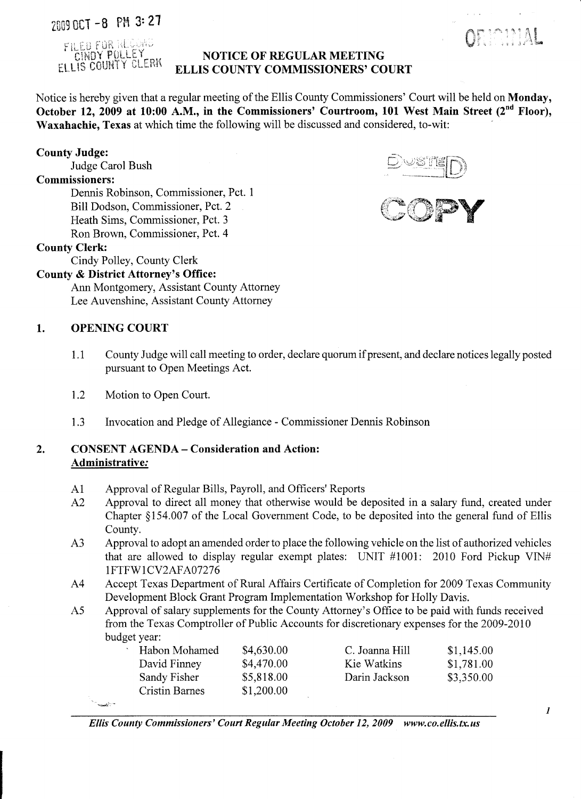# ZfiG9 nCT -8 PM 3: 21



#### NOTICE OF REGULAR MEETING ELLIS COUNTY COMMISSIONERS' COURT

Notice is hereby given that a regular meeting of the Ellis County Commissioners' Court will be held on Monday, October 12, 2009 at 10:00 A.M., in the Commissioners' Courtroom, 101 West Main Street (2<sup>nd</sup> Floor), Waxahachie, Texas at which time the following will be discussed and considered, to-wit:

#### County Judge:

Judge Carol Bush

#### Commissioners:

Dennis Robinson, Commissioner, Pct. 1 Bill Dodson, Commissioner, Pct. 2 Heath Sims, Commissioner, Pct. 3 Ron Brown, Commissioner, Pct. 4

#### County Clerk:

Cindy Polley, County Clerk

#### County & District Attorney's Office:

Ann Montgomery, Assistant County Attorney Lee Auvenshine, Assistant County Attorney

#### 1. OPENING COURT

in and an

- 1.1 County Judge will call meeting to order, declare quorum if present, and declare notices legally posted pursuant to Open Meetings Act.
- 1.2 Motion to Open Court.
- 1.3 Invocation and Pledge of Allegiance Commissioner Dennis Robinson

#### 2. CONSENT AGENDA - Consideration and Action: Administrative:

- Al Approval of Regular Bills, Payroll, and Officers' Reports
- A2 Approval to direct all money that otherwise would be deposited in a salary fund, created under Chapter §154.007 of the Local Government Code, to be deposited into the general fund of Ellis County.
- A3 Approval to adopt an amended order to place the following vehicle on the list of authorized vehicles that are allowed to display regular exempt plates: UNIT #1001: 2010 Ford Pickup VIN# IFTFWI CV2AFA07276
- A4 Accept Texas Department of Rural Affairs Certificate of Completion for 2009 Texas Community Development Block Grant Program Implementation Workshop for Holly Davis.
- A5 Approval of salary supplements for the County Attorney's Office to be paid with funds received from the Texas Comptroller of Public Accounts for discretionary expenses for the 2009-2010 budget year:

| Habon Mohamed         | \$4,630.00 | C. Joanna Hill | \$1,145.00 |
|-----------------------|------------|----------------|------------|
| David Finney          | \$4,470.00 | Kie Watkins    | \$1,781.00 |
| Sandy Fisher          | \$5,818.00 | Darin Jackson  | \$3,350.00 |
| <b>Cristin Barnes</b> | \$1,200.00 |                |            |
|                       |            |                |            |

*Ellis County Commissioners' Court Regular Meeting October 12,2009 www.co.ellis.tx.us* 



ORIGINIAL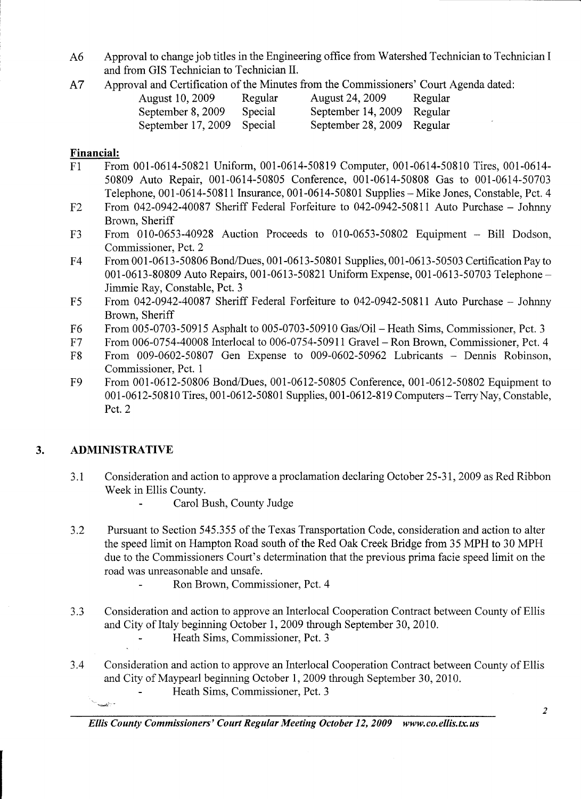- A6 Approval to change job titles in the Engineering office from Watershed Technician to Technician I and from GIS Technician to Technician II.
- A 7 Approval and Certification of the Minutes from the Commissioners' Court Agenda dated:

| <b>August 10, 2009</b>     | Regular | <b>August 24, 2009</b>     | Regular |
|----------------------------|---------|----------------------------|---------|
| September 8, 2009          | Special | September 14, 2009 Regular |         |
| September 17, 2009 Special |         | September 28, 2009 Regular |         |

#### Financial:

- Fl From 001-0614-50821 Uniform, 001-0614-50819 Computer, 001-0614-50810 Tires, 001-0614- 50809 Auto Repair, 001-0614-50805 Conference, 001-0614-50808 Gas to 001-0614-50703 Telephone, 001-0614-50811 Insurance, 001-0614-50801 Supplies - Mike Jones, Constable, Pct. 4
- F2 From 042-0942-40087 Sheriff Federal Forfeiture to 042-0942-50811 Auto Purchase Johnny Brown, Sheriff
- F3 From 010-0653-40928 Auction Proceeds to 010-0653-50802 Equipment Bill Dodson, Commissioner, Pct. 2
- F4 From 001-0613-50806 Bond/Dues, 001-0613-50801 Supplies, 001-0613-50503 Certification Pay to 001-0613-80809 Auto Repairs, 001-0613-50821 Uniform Expense, 001-0613-50703 Telephone -Jimmie Ray, Constable, Pct. 3
- F5 From 042-0942-40087 Sheriff Federal Forfeiture to 042-0942-50811 Auto Purchase Johnny Brown, Sheriff
- F6 From 005-0703-50915 Asphalt to 005-0703-50910 Gas/Oil- Heath Sims, Commissioner, Pct. 3
- F7 From 006-0754-40008 Interlocal to 006-0754-50911 Gravel Ron Brown, Commissioner, Pct. 4
- F8 From 009-0602-50807 Gen Expense to 009-0602-50962 Lubricants Dennis Robinson, Commissioner, Pct. 1
- F9 From 001-0612-50806 Bond/Dues, 001-0612-50805 Conference, 001-0612-50802 Equipment to 001-0612-50810 Tires, 001-0612-50801 Supplies, 001-0612-819 Computers - Terry Nay, Constable, Pct. 2

# 3. ADMINISTRATIVE

in teach

- 3.1 Consideration and action to approve a proclamation declaring October 25-31, 2009 as Red Ribbon Week in Ellis County.
	- $\blacksquare$ Carol Bush, County Judge
- 3.2 Pursuant to Section 545.355 of the Texas Transportation Code, consideration and action to alter the speed limit on Hampton Road south of the Red Oak Creek Bridge from 35 MPH to 30 MPH due to the Commissioners Court's determination that the previous prima facie speed limit on the road was unreasonable and unsafe.
	- Ron Brown, Commissioner, Pct. 4
- 3.3 Consideration and action to approve an Interlocal Cooperation Contract between County of Ellis and City of Italy beginning October 1, 2009 through September 30, 2010.
	- Heath Sims, Commissioner, Pct. 3
- 3.4 Consideration and action to approve an Interlocal Cooperation Contract between County of Ellis and City of Maypearl beginning October 1,2009 through September 30, 2010.
	- Heath Sims, Commissioner, Pct. 3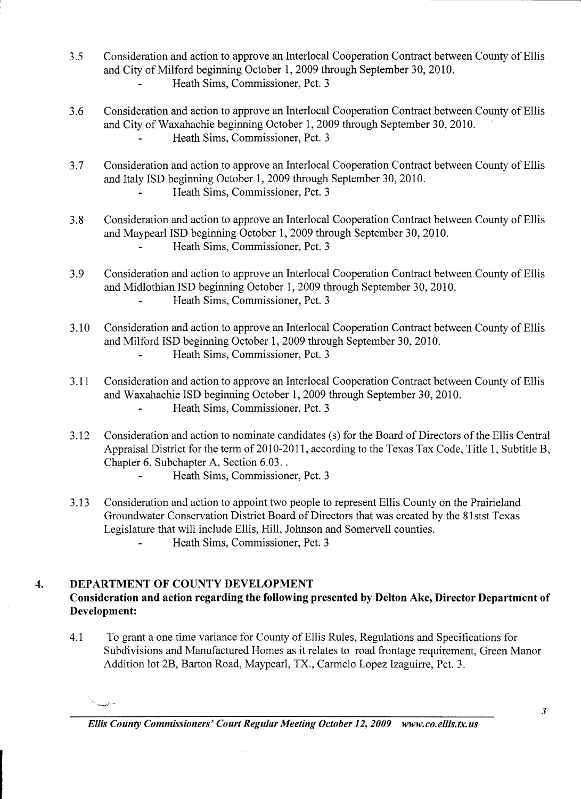- 3.5 Consideration and action to approve an Interlocal Cooperation Contract between County of Ellis and City of Milford beginning October 1,2009 through September 30, 2010.
	- Heath Sims, Commissioner, Pct. 3
- 3.6 Consideration and action to approve an Interlocal Cooperation Contract between County of Ellis and City of Waxahachie beginning October 1,2009 through September 30, 2010. Heath Sims, Commissioner, Pct. 3
- 3.7 Consideration and action to approve an Interlocal Cooperation Contract between County of Ellis and Italy ISD beginning October 1,2009 through September 30, 2010.
	- Heath Sims, Commissioner, Pct. 3
- 3.8 Consideration and action to approve an Interlocal Cooperation Contract between County of Ellis and Maypearl ISD beginning October 1,2009 through September 30, 2010. Heath Sims, Commissioner, Pct. 3
- 3.9 Consideration and action to approve an Interlocal Cooperation Contract between County of Ellis and Midlothian ISD beginning October 1,2009 through September 30, 2010. Heath Sims, Commissioner, Pct. 3  $\mathbf{r}$
- 3.10 Consideration and action to approve an Interlocal Cooperation Contract between County of Ellis and Milford ISD beginning October 1, 2009 through September 30,2010. Heath Sims, Commissioner, Pct. 3
- 3.11 Consideration and action to approve an Interlocal Cooperation Contract between County of Ellis and Waxahachie ISD beginning October 1,2009 through September 30,2010. Heath Sims, Commissioner, Pct. 3  $\overline{a}$
- 3.12 Consideration and action to nominate candidates (s) for the Board of Directors of the Ellis Central Appraisal District for the term of 2010-2011, according to the Texas Tax Code, Title 1, Subtitle B, Chapter 6, Subchapter A, Section 6.03 ..
	- Heath Sims, Commissioner, Pct. 3
- 3.13 Consideration and action to appoint two people to represent Ellis County on the Prairieland Groundwater Conservation District Board of Directors that was created by the 81stst Texas Legislature that will include Ellis, Hill, Johnson and Somervell counties. Heath Sims, Commissioner, Pct. 3

#### 4. DEPARTMENT OF COUNTY DEVELOPMENT

~'-=

# Consideration and action regarding the following presented by Delton Ake, Director Department of Development:

4.1 To grant a one time variance for County of Ellis Rules, Regulations and Specifications for Subdivisions and Manufactured Homes as it relates to road frontage requirement, Green Manor Addition lot 2B, Barton Road, Maypearl, TX., Carmelo Lopez Izaguirre, Pct. 3.

*Ellis County Commissioners' Court Regular Meeting October 12,2009 www.co.ellis.tx.us*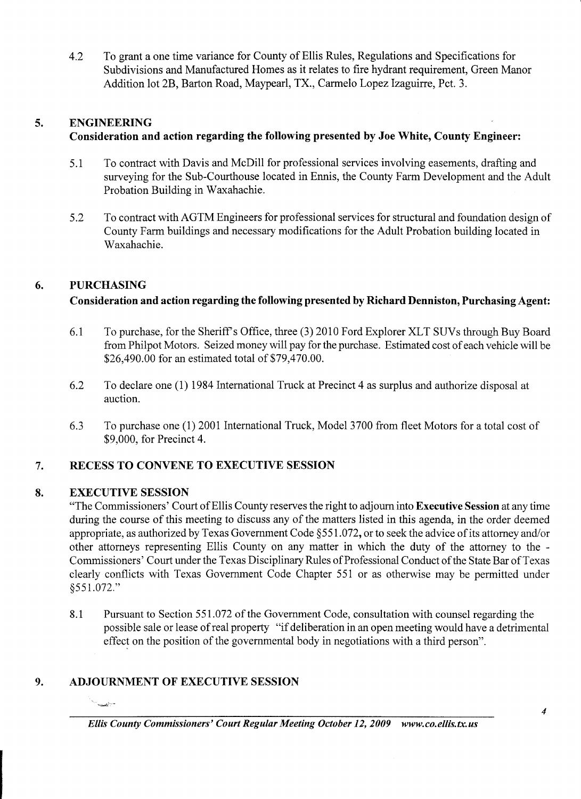4.2 To grant a one time variance for County of Ellis Rules, Regulations and Specifications for Subdivisions and Manufactured Homes as it relates to fire hydrant requirement, Green Manor Addition lot 2B, Barton Road, Maypearl, TX., Carmelo Lopez Izaguirre, Pct. 3.

# 5. ENGINEERING

# Consideration and action regarding the following presented by Joe White, County Engineer:

- 5.1 To contract with Davis and McDill for professional services involving easements, drafting and surveying for the Sub-Courthouse located in Ennis, the County Farm Development and the Adult Probation Building in Waxahachie.
- 5.2 To contract with AGTM Engineers for professional services for structural and foundation design of County Farm buildings and necessary modifications for the Adult Probation building located in Waxahachie.

# 6. PURCHASING

# Consideration and action regarding the following presented by Richard Denniston, Purchasing Agent:

- 6.1 To purchase, for the Sheriffs Office, three (3) 2010 Ford Explorer XLT SUVs through Buy Board from Philpot Motors. Seized money will pay for the purchase. Estimated cost of each vehicle will be \$26,490.00 for an estimated total of \$79,470.00.
- 6.2 To declare one (1) 1984 International Truck at Precinct 4 as surplus and authorize disposal at auction.
- 6.3 To purchase one (1) 2001 International Truck, Model 3700 from fleet Motors for a total cost of \$9,000, for Precinct 4.

# 7. RECESS TO CONVENE TO EXECUTIVE SESSION

# 8. EXECUTIVE SESSION

**Second Company** 

"The Commissioners' Court of Ellis County reserves the right to adjourn into Executive Session at any time during the course of this meeting to discuss any of the matters listed in this agenda, in the order deemed appropriate, as authorized by Texas Government Code §551.072, or to seek the advice of its attorney and/or other attorneys representing Ellis County on any matter in which the duty of the attorney to the - Commissioners' Court under the Texas Disciplinary Rules of Professional Conduct of the State Bar of Texas clearly conflicts with Texas Government Code Chapter 551 or as otherwise may be permitted under *§551.0n."* 

8.1 Pursuant to Section 551.072 of the Government Code, consultation with counsel regarding the possible sale or lease of real property "if deliberation in an open meeting would have a detrimental effect on the position of the governmental body in negotiations with a third person".

# 9. ADJOURNMENT OF EXECUTIVE SESSION